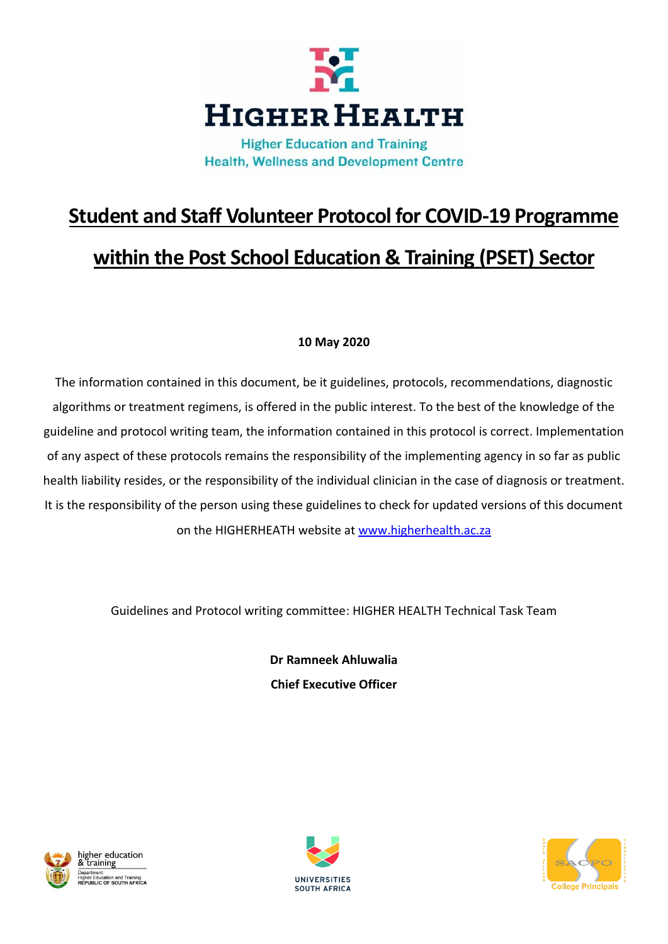

**Health, Wellness and Development Centre** 

# **Student and Staff Volunteer Protocol for COVID-19 Programme within the Post School Education & Training (PSET) Sector**

# **10 May 2020**

The information contained in this document, be it guidelines, protocols, recommendations, diagnostic algorithms or treatment regimens, is offered in the public interest. To the best of the knowledge of the guideline and protocol writing team, the information contained in this protocol is correct. Implementation of any aspect of these protocols remains the responsibility of the implementing agency in so far as public health liability resides, or the responsibility of the individual clinician in the case of diagnosis or treatment. It is the responsibility of the person using these guidelines to check for updated versions of this document on the HIGHERHEATH website at [www.higherhealth.ac.za](http://www.higherhealth.ac.za/)

Guidelines and Protocol writing committee: HIGHER HEALTH Technical Task Team

**Dr Ramneek Ahluwalia Chief Executive Officer**





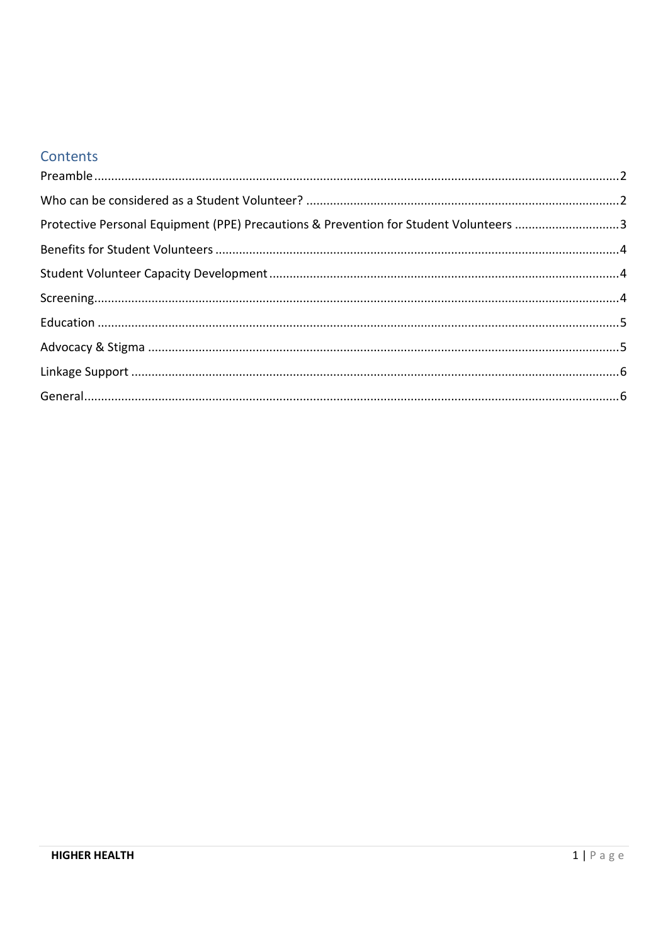# Contents

| Protective Personal Equipment (PPE) Precautions & Prevention for Student Volunteers 3 |  |
|---------------------------------------------------------------------------------------|--|
|                                                                                       |  |
|                                                                                       |  |
|                                                                                       |  |
|                                                                                       |  |
|                                                                                       |  |
|                                                                                       |  |
|                                                                                       |  |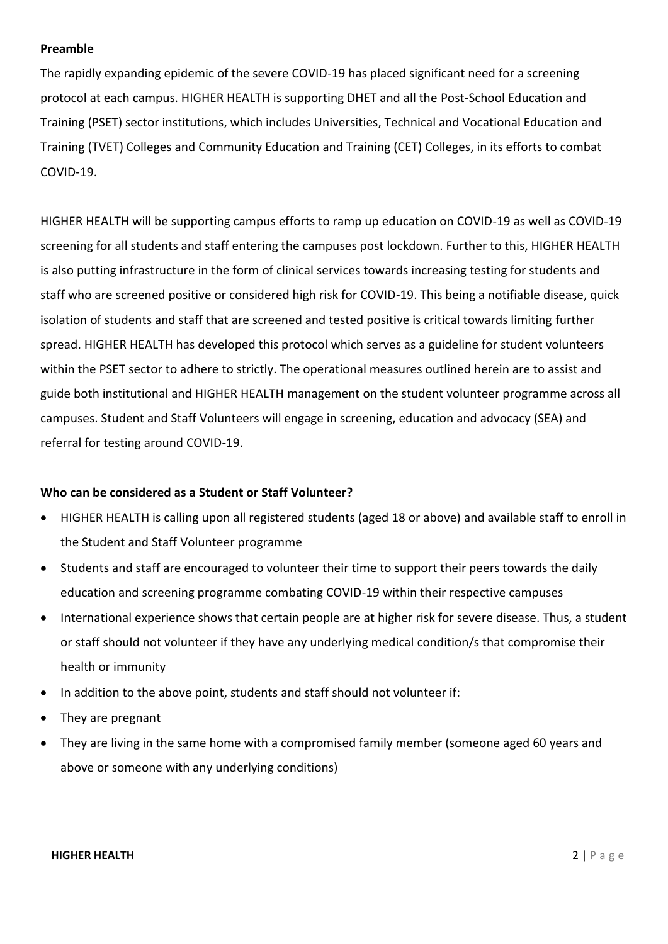# <span id="page-2-0"></span>**Preamble**

The rapidly expanding epidemic of the severe COVID-19 has placed significant need for a screening protocol at each campus. HIGHER HEALTH is supporting DHET and all the Post-School Education and Training (PSET) sector institutions, which includes Universities, Technical and Vocational Education and Training (TVET) Colleges and Community Education and Training (CET) Colleges, in its efforts to combat COVID-19.

HIGHER HEALTH will be supporting campus efforts to ramp up education on COVID-19 as well as COVID-19 screening for all students and staff entering the campuses post lockdown. Further to this, HIGHER HEALTH is also putting infrastructure in the form of clinical services towards increasing testing for students and staff who are screened positive or considered high risk for COVID-19. This being a notifiable disease, quick isolation of students and staff that are screened and tested positive is critical towards limiting further spread. HIGHER HEALTH has developed this protocol which serves as a guideline for student volunteers within the PSET sector to adhere to strictly. The operational measures outlined herein are to assist and guide both institutional and HIGHER HEALTH management on the student volunteer programme across all campuses. Student and Staff Volunteers will engage in screening, education and advocacy (SEA) and referral for testing around COVID-19.

# <span id="page-2-1"></span>**Who can be considered as a Student or Staff Volunteer?**

- HIGHER HEALTH is calling upon all registered students (aged 18 or above) and available staff to enroll in the Student and Staff Volunteer programme
- Students and staff are encouraged to volunteer their time to support their peers towards the daily education and screening programme combating COVID-19 within their respective campuses
- International experience shows that certain people are at higher risk for severe disease. Thus, a student or staff should not volunteer if they have any underlying medical condition/s that compromise their health or immunity
- In addition to the above point, students and staff should not volunteer if:
- They are pregnant
- They are living in the same home with a compromised family member (someone aged 60 years and above or someone with any underlying conditions)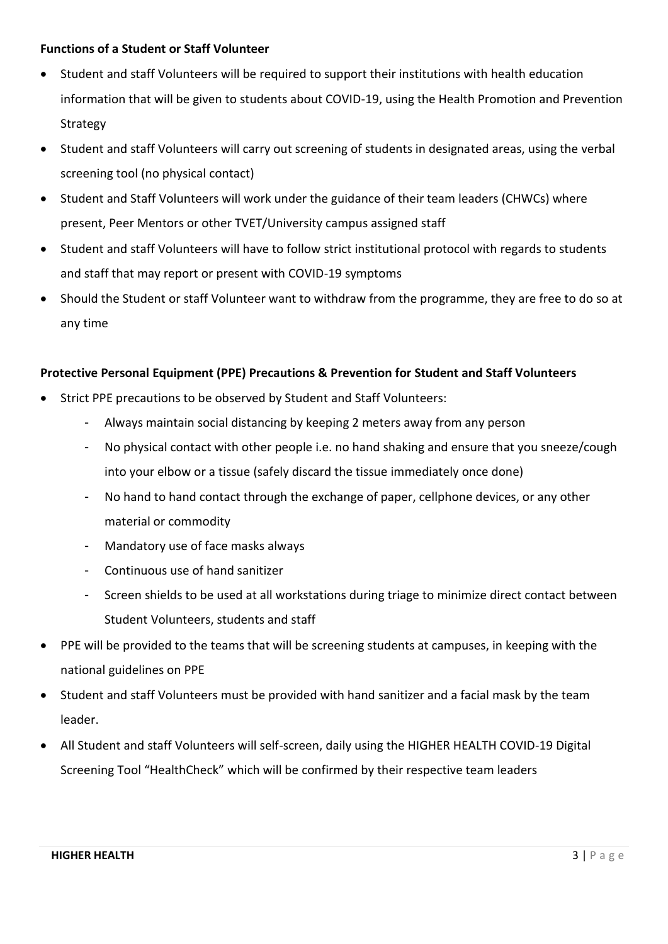# **Functions of a Student or Staff Volunteer**

- Student and staff Volunteers will be required to support their institutions with health education information that will be given to students about COVID-19, using the Health Promotion and Prevention Strategy
- Student and staff Volunteers will carry out screening of students in designated areas, using the verbal screening tool (no physical contact)
- Student and Staff Volunteers will work under the guidance of their team leaders (CHWCs) where present, Peer Mentors or other TVET/University campus assigned staff
- Student and staff Volunteers will have to follow strict institutional protocol with regards to students and staff that may report or present with COVID-19 symptoms
- Should the Student or staff Volunteer want to withdraw from the programme, they are free to do so at any time

# <span id="page-3-0"></span>**Protective Personal Equipment (PPE) Precautions & Prevention for Student and Staff Volunteers**

- Strict PPE precautions to be observed by Student and Staff Volunteers:
	- Always maintain social distancing by keeping 2 meters away from any person
	- No physical contact with other people i.e. no hand shaking and ensure that you sneeze/cough into your elbow or a tissue (safely discard the tissue immediately once done)
	- No hand to hand contact through the exchange of paper, cellphone devices, or any other material or commodity
	- Mandatory use of face masks always
	- Continuous use of hand sanitizer
	- Screen shields to be used at all workstations during triage to minimize direct contact between Student Volunteers, students and staff
- PPE will be provided to the teams that will be screening students at campuses, in keeping with the national guidelines on PPE
- Student and staff Volunteers must be provided with hand sanitizer and a facial mask by the team leader.
- All Student and staff Volunteers will self-screen, daily using the HIGHER HEALTH COVID-19 Digital Screening Tool "HealthCheck" which will be confirmed by their respective team leaders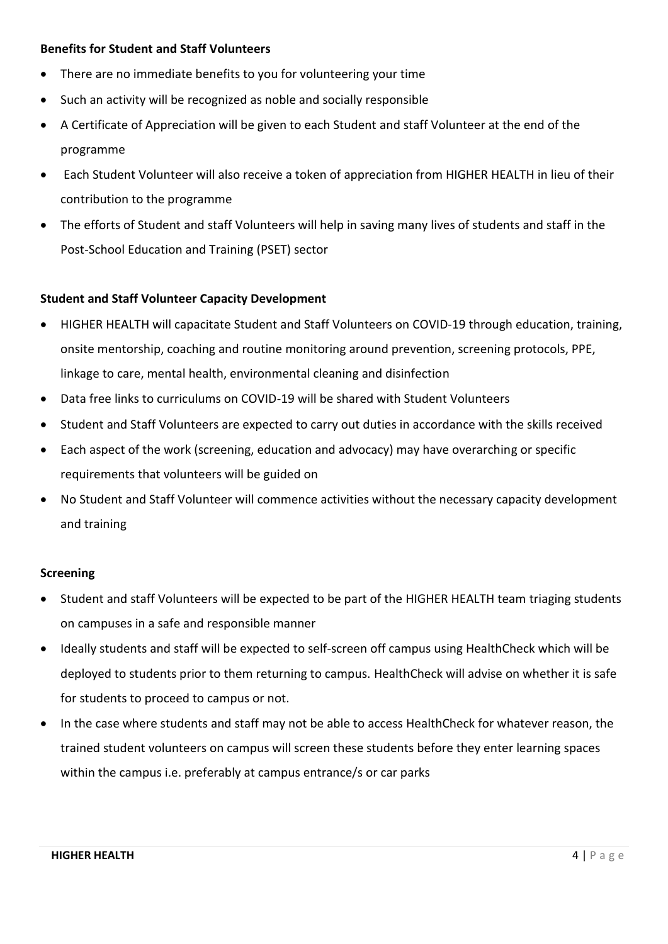# <span id="page-4-0"></span>**Benefits for Student and Staff Volunteers**

- There are no immediate benefits to you for volunteering your time
- Such an activity will be recognized as noble and socially responsible
- A Certificate of Appreciation will be given to each Student and staff Volunteer at the end of the programme
- Each Student Volunteer will also receive a token of appreciation from HIGHER HEALTH in lieu of their contribution to the programme
- The efforts of Student and staff Volunteers will help in saving many lives of students and staff in the Post-School Education and Training (PSET) sector

# <span id="page-4-1"></span>**Student and Staff Volunteer Capacity Development**

- HIGHER HEALTH will capacitate Student and Staff Volunteers on COVID-19 through education, training, onsite mentorship, coaching and routine monitoring around prevention, screening protocols, PPE, linkage to care, mental health, environmental cleaning and disinfection
- Data free links to curriculums on COVID-19 will be shared with Student Volunteers
- Student and Staff Volunteers are expected to carry out duties in accordance with the skills received
- Each aspect of the work (screening, education and advocacy) may have overarching or specific requirements that volunteers will be guided on
- No Student and Staff Volunteer will commence activities without the necessary capacity development and training

#### <span id="page-4-2"></span>**Screening**

- Student and staff Volunteers will be expected to be part of the HIGHER HEALTH team triaging students on campuses in a safe and responsible manner
- Ideally students and staff will be expected to self-screen off campus using HealthCheck which will be deployed to students prior to them returning to campus. HealthCheck will advise on whether it is safe for students to proceed to campus or not.
- In the case where students and staff may not be able to access HealthCheck for whatever reason, the trained student volunteers on campus will screen these students before they enter learning spaces within the campus i.e. preferably at campus entrance/s or car parks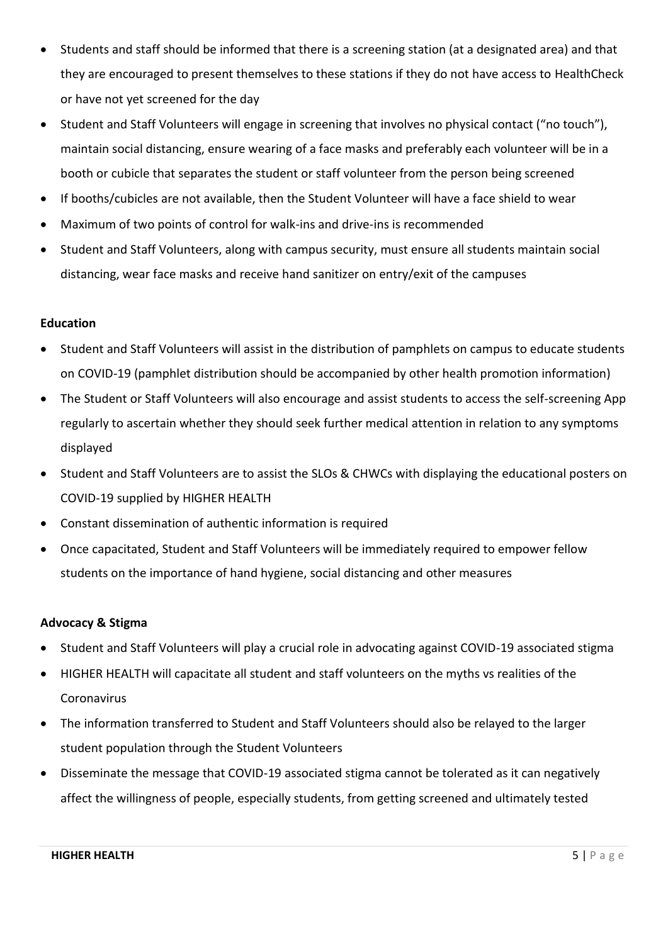- Students and staff should be informed that there is a screening station (at a designated area) and that they are encouraged to present themselves to these stations if they do not have access to HealthCheck or have not yet screened for the day
- Student and Staff Volunteers will engage in screening that involves no physical contact ("no touch"), maintain social distancing, ensure wearing of a face masks and preferably each volunteer will be in a booth or cubicle that separates the student or staff volunteer from the person being screened
- If booths/cubicles are not available, then the Student Volunteer will have a face shield to wear
- Maximum of two points of control for walk-ins and drive-ins is recommended
- Student and Staff Volunteers, along with campus security, must ensure all students maintain social distancing, wear face masks and receive hand sanitizer on entry/exit of the campuses

# <span id="page-5-0"></span>**Education**

- Student and Staff Volunteers will assist in the distribution of pamphlets on campus to educate students on COVID-19 (pamphlet distribution should be accompanied by other health promotion information)
- The Student or Staff Volunteers will also encourage and assist students to access the self-screening App regularly to ascertain whether they should seek further medical attention in relation to any symptoms displayed
- Student and Staff Volunteers are to assist the SLOs & CHWCs with displaying the educational posters on COVID-19 supplied by HIGHER HEALTH
- Constant dissemination of authentic information is required
- Once capacitated, Student and Staff Volunteers will be immediately required to empower fellow students on the importance of hand hygiene, social distancing and other measures

# <span id="page-5-1"></span>**Advocacy & Stigma**

- Student and Staff Volunteers will play a crucial role in advocating against COVID-19 associated stigma
- HIGHER HEALTH will capacitate all student and staff volunteers on the myths vs realities of the Coronavirus
- The information transferred to Student and Staff Volunteers should also be relayed to the larger student population through the Student Volunteers
- Disseminate the message that COVID-19 associated stigma cannot be tolerated as it can negatively affect the willingness of people, especially students, from getting screened and ultimately tested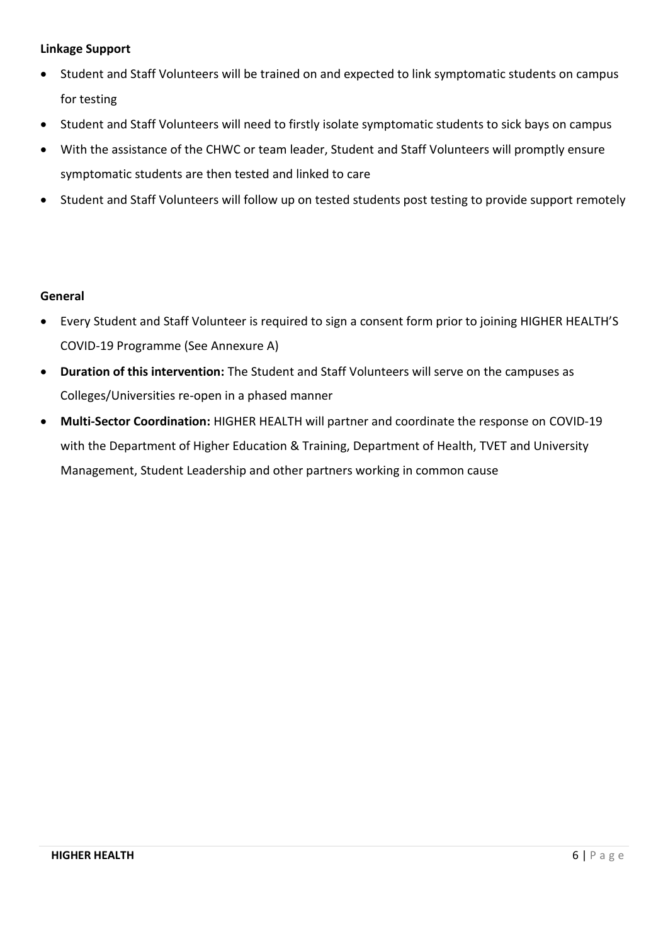# <span id="page-6-0"></span>**Linkage Support**

- Student and Staff Volunteers will be trained on and expected to link symptomatic students on campus for testing
- Student and Staff Volunteers will need to firstly isolate symptomatic students to sick bays on campus
- With the assistance of the CHWC or team leader, Student and Staff Volunteers will promptly ensure symptomatic students are then tested and linked to care
- Student and Staff Volunteers will follow up on tested students post testing to provide support remotely

# <span id="page-6-1"></span>**General**

- Every Student and Staff Volunteer is required to sign a consent form prior to joining HIGHER HEALTH'S COVID-19 Programme (See Annexure A)
- **Duration of this intervention:** The Student and Staff Volunteers will serve on the campuses as Colleges/Universities re-open in a phased manner
- **Multi-Sector Coordination:** HIGHER HEALTH will partner and coordinate the response on COVID-19 with the Department of Higher Education & Training, Department of Health, TVET and University Management, Student Leadership and other partners working in common cause